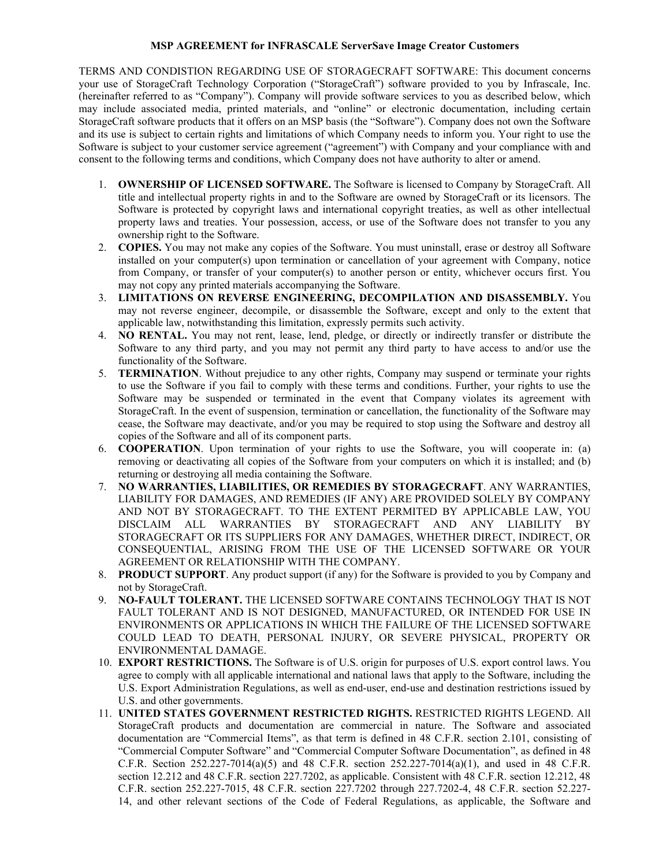## **MSP AGREEMENT for INFRASCALE ServerSave Image Creator Customers**

TERMS AND CONDISTION REGARDING USE OF STORAGECRAFT SOFTWARE: This document concerns your use of StorageCraft Technology Corporation ("StorageCraft") software provided to you by Infrascale, Inc. (hereinafter referred to as "Company"). Company will provide software services to you as described below, which may include associated media, printed materials, and "online" or electronic documentation, including certain StorageCraft software products that it offers on an MSP basis (the "Software"). Company does not own the Software and its use is subject to certain rights and limitations of which Company needs to inform you. Your right to use the Software is subject to your customer service agreement ("agreement") with Company and your compliance with and consent to the following terms and conditions, which Company does not have authority to alter or amend.

- 1. **OWNERSHIP OF LICENSED SOFTWARE.** The Software is licensed to Company by StorageCraft. All title and intellectual property rights in and to the Software are owned by StorageCraft or its licensors. The Software is protected by copyright laws and international copyright treaties, as well as other intellectual property laws and treaties. Your possession, access, or use of the Software does not transfer to you any ownership right to the Software.
- 2. **COPIES.** You may not make any copies of the Software. You must uninstall, erase or destroy all Software installed on your computer(s) upon termination or cancellation of your agreement with Company, notice from Company, or transfer of your computer(s) to another person or entity, whichever occurs first. You may not copy any printed materials accompanying the Software.
- 3. **LIMITATIONS ON REVERSE ENGINEERING, DECOMPILATION AND DISASSEMBLY.** You may not reverse engineer, decompile, or disassemble the Software, except and only to the extent that applicable law, notwithstanding this limitation, expressly permits such activity.
- 4. **NO RENTAL.** You may not rent, lease, lend, pledge, or directly or indirectly transfer or distribute the Software to any third party, and you may not permit any third party to have access to and/or use the functionality of the Software.
- 5. **TERMINATION**. Without prejudice to any other rights, Company may suspend or terminate your rights to use the Software if you fail to comply with these terms and conditions. Further, your rights to use the Software may be suspended or terminated in the event that Company violates its agreement with StorageCraft. In the event of suspension, termination or cancellation, the functionality of the Software may cease, the Software may deactivate, and/or you may be required to stop using the Software and destroy all copies of the Software and all of its component parts.
- 6. **COOPERATION**. Upon termination of your rights to use the Software, you will cooperate in: (a) removing or deactivating all copies of the Software from your computers on which it is installed; and (b) returning or destroying all media containing the Software.
- 7. **NO WARRANTIES, LIABILITIES, OR REMEDIES BY STORAGECRAFT**. ANY WARRANTIES, LIABILITY FOR DAMAGES, AND REMEDIES (IF ANY) ARE PROVIDED SOLELY BY COMPANY AND NOT BY STORAGECRAFT. TO THE EXTENT PERMITED BY APPLICABLE LAW, YOU DISCLAIM ALL WARRANTIES BY STORAGECRAFT AND ANY LIABILITY BY STORAGECRAFT OR ITS SUPPLIERS FOR ANY DAMAGES, WHETHER DIRECT, INDIRECT, OR CONSEQUENTIAL, ARISING FROM THE USE OF THE LICENSED SOFTWARE OR YOUR AGREEMENT OR RELATIONSHIP WITH THE COMPANY.
- 8. **PRODUCT SUPPORT**. Any product support (if any) for the Software is provided to you by Company and not by StorageCraft.
- 9. **NO-FAULT TOLERANT.** THE LICENSED SOFTWARE CONTAINS TECHNOLOGY THAT IS NOT FAULT TOLERANT AND IS NOT DESIGNED, MANUFACTURED, OR INTENDED FOR USE IN ENVIRONMENTS OR APPLICATIONS IN WHICH THE FAILURE OF THE LICENSED SOFTWARE COULD LEAD TO DEATH, PERSONAL INJURY, OR SEVERE PHYSICAL, PROPERTY OR ENVIRONMENTAL DAMAGE.
- 10. **EXPORT RESTRICTIONS.** The Software is of U.S. origin for purposes of U.S. export control laws. You agree to comply with all applicable international and national laws that apply to the Software, including the U.S. Export Administration Regulations, as well as end-user, end-use and destination restrictions issued by U.S. and other governments.
- 11. **UNITED STATES GOVERNMENT RESTRICTED RIGHTS.** RESTRICTED RIGHTS LEGEND. All StorageCraft products and documentation are commercial in nature. The Software and associated documentation are "Commercial Items", as that term is defined in 48 C.F.R. section 2.101, consisting of "Commercial Computer Software" and "Commercial Computer Software Documentation", as defined in 48 C.F.R. Section 252.227-7014(a)(5) and 48 C.F.R. section 252.227-7014(a)(1), and used in 48 C.F.R. section 12.212 and 48 C.F.R. section 227.7202, as applicable. Consistent with 48 C.F.R. section 12.212, 48 C.F.R. section 252.227-7015, 48 C.F.R. section 227.7202 through 227.7202-4, 48 C.F.R. section 52.227- 14, and other relevant sections of the Code of Federal Regulations, as applicable, the Software and